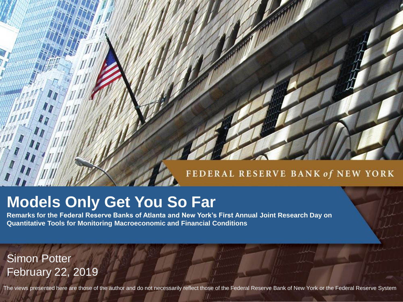#### FEDERAL RESERVE BANK of NEW YORK

# **Models Only Get You So Far**

**Remarks for the Federal Reserve Banks of Atlanta and New York's First Annual Joint Research Day on Quantitative Tools for Monitoring Macroeconomic and Financial Conditions**

Simon Potter February 22, 2019

The views presented here are those of the author and do not necessarily reflect those of the Federal Reserve Bank of New York or the Federal Reserve System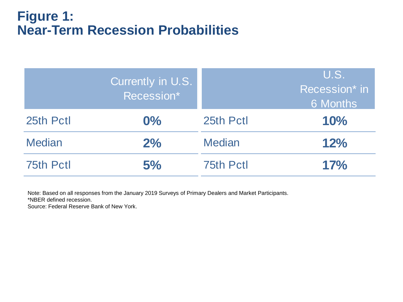## **Figure 1: Near-Term Recession Probabilities**

|               | Currently in U.S.<br>Recession* |                  | U.S.<br>Recession* in<br>6 Months |
|---------------|---------------------------------|------------------|-----------------------------------|
| 25th Pctl     | $0\%$                           | 25th Pctl        | 10%                               |
| <b>Median</b> | 2%                              | <b>Median</b>    | 12%                               |
| 75th Pctl     | 5%                              | <b>75th Pctl</b> | 17%                               |

Note: Based on all responses from the January 2019 Surveys of Primary Dealers and Market Participants.

\*NBER defined recession.

Source: Federal Reserve Bank of New York.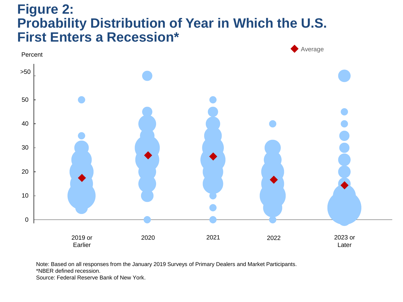## **Figure 2: Probability Distribution of Year in Which the U.S. First Enters a Recession\***



Note: Based on all responses from the January 2019 Surveys of Primary Dealers and Market Participants.

\*NBER defined recession.

Source: Federal Reserve Bank of New York.